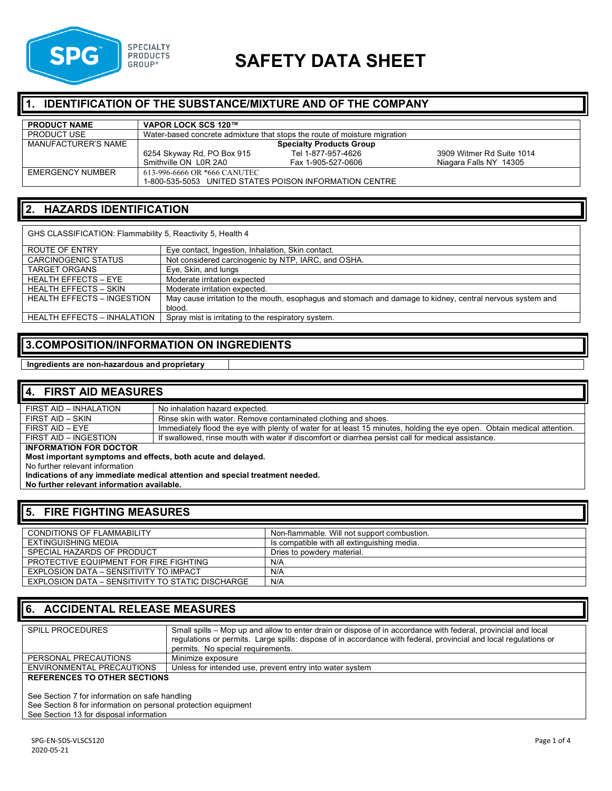

# **SAFETY DATA SHEET**

#### **1. IDENTIFICATION OF THE SUBSTANCE/MIXTURE AND OF THE COMPANY**

| <b>PRODUCT NAME</b> | VAPOR LOCK SCS 120™          |                                                                           |                           |
|---------------------|------------------------------|---------------------------------------------------------------------------|---------------------------|
| <b>PRODUCT USE</b>  |                              | Water-based concrete admixture that stops the route of moisture migration |                           |
| MANUFACTURER'S NAME |                              | <b>Specialty Products Group</b>                                           |                           |
|                     | 6254 Skyway Rd, PO Box 915   | Tel 1-877-957-4626                                                        | 3909 Witmer Rd Suite 1014 |
|                     | Smithville ON L0R 2A0        | Fax 1-905-527-0606                                                        | Niagara Falls NY 14305    |
| EMERGENCY NUMBER    | 613-996-6666 OR *666 CANUTEC |                                                                           |                           |
|                     |                              | 1-800-535-5053 UNITED STATES POISON INFORMATION CENTRE                    |                           |

#### **2. HAZARDS IDENTIFICATION**

GHS CLASSIFICATION: Flammability 5, Reactivity 5, Health 4

| ROUTE OF ENTRY                     | Eye contact, Ingestion, Inhalation, Skin contact.                                                         |
|------------------------------------|-----------------------------------------------------------------------------------------------------------|
| CARCINOGENIC STATUS                | Not considered carcinogenic by NTP, IARC, and OSHA.                                                       |
| <b>TARGET ORGANS</b>               | Eye, Skin, and lungs                                                                                      |
| <b>HEALTH EFFECTS - EYE</b>        | Moderate irritation expected                                                                              |
| <b>HEALTH EFFECTS - SKIN</b>       | Moderate irritation expected.                                                                             |
| <b>HEALTH EFFECTS - INGESTION</b>  | May cause irritation to the mouth, esophagus and stomach and damage to kidney, central nervous system and |
|                                    | blood.                                                                                                    |
| <b>HEALTH EFFECTS - INHALATION</b> | Spray mist is irritating to the respiratory system.                                                       |

#### **3.COMPOSITION/INFORMATION ON INGREDIENTS**

**Ingredients are non-hazardous and proprietary**

| <b>4. FIRST AID MEASURES</b>                                 |                                                                                                                         |
|--------------------------------------------------------------|-------------------------------------------------------------------------------------------------------------------------|
| FIRST AID - INHALATION                                       | No inhalation hazard expected.                                                                                          |
| FIRST AID - SKIN                                             | Rinse skin with water. Remove contaminated clothing and shoes.                                                          |
| FIRST AID - EYE                                              | Immediately flood the eye with plenty of water for at least 15 minutes, holding the eye open. Obtain medical attention. |
| FIRST AID - INGESTION                                        | If swallowed, rinse mouth with water if discomfort or diarrhea persist call for medical assistance.                     |
| <b>INFORMATION FOR DOCTOR</b>                                |                                                                                                                         |
| Most important symptoms and effects, both acute and delayed. |                                                                                                                         |
| No further relevant information                              |                                                                                                                         |
|                                                              | Indications of any immediate medical attention and special treatment needed.                                            |
| No further relevant information available.                   |                                                                                                                         |

#### **5. FIRE FIGHTING MEASURES**

| <b>CONDITIONS OF FLAMMABILITY</b>                | Non-flammable. Will not support combustion. |
|--------------------------------------------------|---------------------------------------------|
| EXTINGUISHING MEDIA                              | Is compatible with all extinguishing media. |
| SPECIAL HAZARDS OF PRODUCT                       | Dries to powdery material.                  |
| PROTECTIVE EQUIPMENT FOR FIRE FIGHTING           | N/A                                         |
| EXPLOSION DATA - SENSITIVITY TO IMPACT           | N/A                                         |
| EXPLOSION DATA – SENSITIVITY TO STATIC DISCHARGE | N/A                                         |

#### **6. ACCIDENTAL RELEASE MEASURES**

| <b>SPILL PROCEDURES</b>             | Small spills – Mop up and allow to enter drain or dispose of in accordance with federal, provincial and local<br>regulations or permits. Large spills: dispose of in accordance with federal, provincial and local regulations or<br>permits. No special requirements. |
|-------------------------------------|------------------------------------------------------------------------------------------------------------------------------------------------------------------------------------------------------------------------------------------------------------------------|
| PERSONAL PRECAUTIONS                | Minimize exposure                                                                                                                                                                                                                                                      |
| ENVIRONMENTAL PRECAUTIONS           | Unless for intended use, prevent entry into water system                                                                                                                                                                                                               |
| <b>REFERENCES TO OTHER SECTIONS</b> |                                                                                                                                                                                                                                                                        |

See Section 7 for information on safe handling

See Section 8 for information on personal protection equipment

See Section 13 for disposal information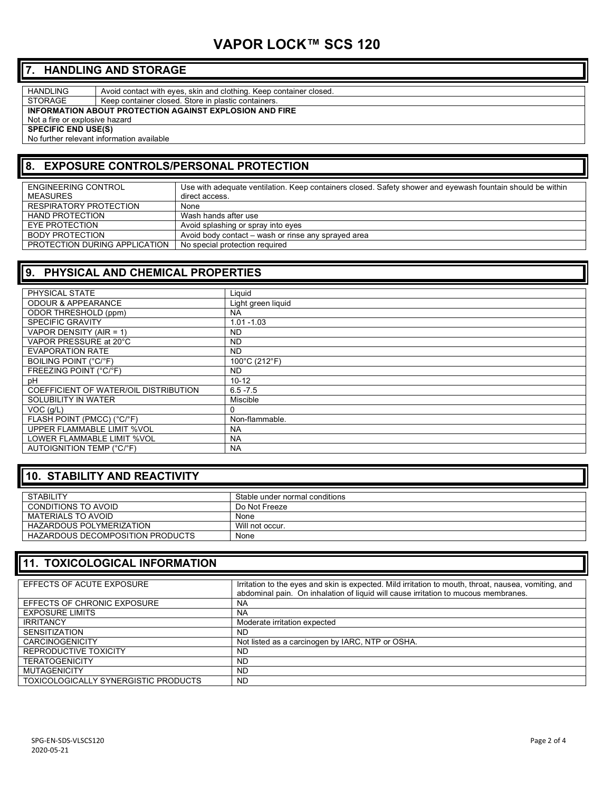## **VAPOR LOCK™ SCS 120**

#### **7. HANDLING AND STORAGE**

HANDLING Avoid contact with eyes, skin and clothing. Keep container closed.

STORAGE | Keep container closed. Store in plastic containers.

**INFORMATION ABOUT PROTECTION AGAINST EXPLOSION AND FIRE**

Not a fire or explosive hazard

**SPECIFIC END USE(S)** 

No further relevant information available

### **8. EXPOSURE CONTROLS/PERSONAL PROTECTION**

| ENGINEERING CONTROL           | Use with adequate ventilation. Keep containers closed. Safety shower and eyewash fountain should be within |
|-------------------------------|------------------------------------------------------------------------------------------------------------|
| MEASURES                      | direct access.                                                                                             |
| RESPIRATORY PROTECTION        | None                                                                                                       |
| <b>HAND PROTECTION</b>        | Wash hands after use                                                                                       |
| EYE PROTECTION                | Avoid splashing or spray into eyes                                                                         |
| BODY PROTECTION               | Avoid body contact – wash or rinse any sprayed area                                                        |
| PROTECTION DURING APPLICATION | No special protection required                                                                             |

#### **9. PHYSICAL AND CHEMICAL PROPERTIES**

| PHYSICAL STATE                        | Liguid             |
|---------------------------------------|--------------------|
| <b>ODOUR &amp; APPEARANCE</b>         | Light green liquid |
| ODOR THRESHOLD (ppm)                  | <b>NA</b>          |
| <b>SPECIFIC GRAVITY</b>               | $1.01 - 1.03$      |
| VAPOR DENSITY (AIR = 1)               | ND.                |
| VAPOR PRESSURE at 20°C                | ND.                |
| <b>EVAPORATION RATE</b>               | ND.                |
| <b>BOILING POINT (°C/°F)</b>          | 100°C (212°F)      |
| FREEZING POINT (°C/°F)                | ND.                |
| pH                                    | $10 - 12$          |
| COEFFICIENT OF WATER/OIL DISTRIBUTION | $6.5 - 7.5$        |
| SOLUBILITY IN WATER                   | <b>Miscible</b>    |
| VOC(q/L)                              | 0                  |
| FLASH POINT (PMCC) (°C/°F)            | Non-flammable.     |
| UPPER FLAMMABLE LIMIT %VOL            | <b>NA</b>          |
| LOWER FLAMMABLE LIMIT %VOL            | <b>NA</b>          |
| AUTOIGNITION TEMP (°C/°F)             | <b>NA</b>          |

#### **10. STABILITY AND REACTIVITY**

| <b>STABILITY</b>                 | Stable under normal conditions |
|----------------------------------|--------------------------------|
| CONDITIONS TO AVOID              | Do Not Freeze                  |
| MATERIALS TO AVOID               | None                           |
| <b>HAZARDOUS POLYMERIZATION</b>  | Will not occur.                |
| HAZARDOUS DECOMPOSITION PRODUCTS | None                           |

#### **11. TOXICOLOGICAL INFORMATION**

| EFFECTS OF ACUTE EXPOSURE            | Irritation to the eyes and skin is expected. Mild irritation to mouth, throat, nausea, vomiting, and<br>abdominal pain. On inhalation of liquid will cause irritation to mucous membranes. |
|--------------------------------------|--------------------------------------------------------------------------------------------------------------------------------------------------------------------------------------------|
| EFFECTS OF CHRONIC EXPOSURE          | <b>NA</b>                                                                                                                                                                                  |
| <b>EXPOSURE LIMITS</b>               | <b>NA</b>                                                                                                                                                                                  |
| <b>IRRITANCY</b>                     | Moderate irritation expected                                                                                                                                                               |
| <b>SENSITIZATION</b>                 | <b>ND</b>                                                                                                                                                                                  |
| <b>CARCINOGENICITY</b>               | Not listed as a carcinogen by IARC, NTP or OSHA.                                                                                                                                           |
| REPRODUCTIVE TOXICITY                | <b>ND</b>                                                                                                                                                                                  |
| <b>TERATOGENICITY</b>                | <b>ND</b>                                                                                                                                                                                  |
| <b>MUTAGENICITY</b>                  | <b>ND</b>                                                                                                                                                                                  |
| TOXICOLOGICALLY SYNERGISTIC PRODUCTS | ND.                                                                                                                                                                                        |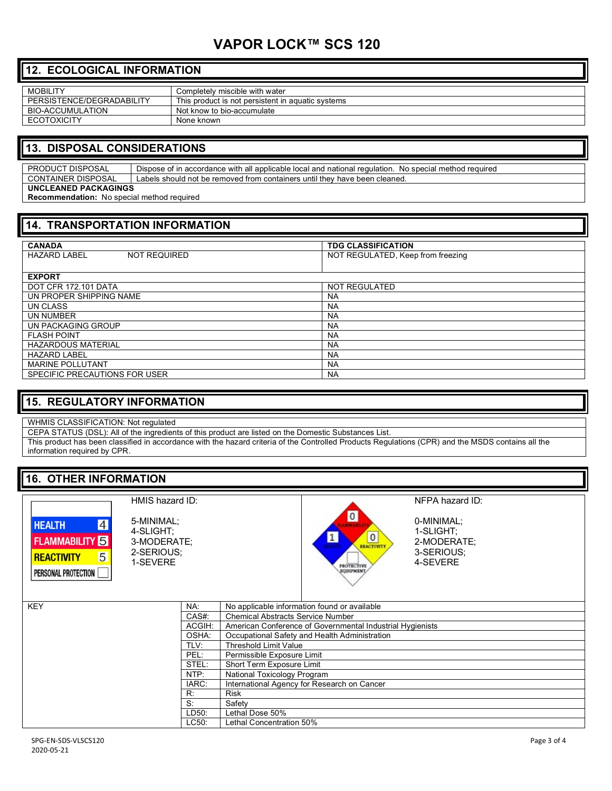# **VAPOR LOCK™ SCS 120**

#### **12. ECOLOGICAL INFORMATION**

| <b>MOBILITY</b>           | Completely miscible with water                    |
|---------------------------|---------------------------------------------------|
| PERSISTENCE/DEGRADABILITY | This product is not persistent in aquatic systems |
| <b>BIO-ACCUMULATION</b>   | Not know to bio-accumulate                        |
| ECOTOXICITY               | None known                                        |

#### **13. DISPOSAL CONSIDERATIONS**

PRODUCT DISPOSAL Dispose of in accordance with all applicable local and national regulation. No special method required CONTAINER DISPOSAL Labels should not be removed from containers until they have been cleaned. **UNCLEANED PACKAGINGS Recommendation:** No special method required

| 14. TRANSPORTATION INFORMATION             |                                   |
|--------------------------------------------|-----------------------------------|
| <b>CANADA</b>                              | <b>TDG CLASSIFICATION</b>         |
| <b>HAZARD LABEL</b><br><b>NOT REQUIRED</b> | NOT REGULATED, Keep from freezing |
| <b>EXPORT</b>                              |                                   |
| DOT CFR 172.101 DATA                       | NOT REGULATED                     |
| UN PROPER SHIPPING NAME                    | <b>NA</b>                         |
| UN CLASS                                   | <b>NA</b>                         |
| UN NUMBER                                  | <b>NA</b>                         |
| UN PACKAGING GROUP                         | <b>NA</b>                         |
| <b>FLASH POINT</b>                         | <b>NA</b>                         |
| <b>HAZARDOUS MATERIAL</b>                  | <b>NA</b>                         |
| <b>HAZARD LABEL</b>                        | <b>NA</b>                         |
| <b>MARINE POLLUTANT</b>                    | <b>NA</b>                         |
| SPECIFIC PRECAUTIONS FOR USER              | <b>NA</b>                         |

#### **15. REGULATORY INFORMATION**

WHMIS CLASSIFICATION: Not regulated

CEPA STATUS (DSL): All of the ingredients of this product are listed on the Domestic Substances List.

This product has been classified in accordance with the hazard criteria of the Controlled Products Regulations (CPR) and the MSDS contains all the information required by CPR.

#### **16. OTHER INFORMATION**

| HEALTH              |  |
|---------------------|--|
| <b>FLAMMABILITY</b> |  |
| <b>REACTIVITY</b>   |  |
| PERSONAL PROTECTION |  |

5-MINIMAL; 4-SLIGHT; 3-MODERATE; 2-SERIOUS; 1-SEVERE

HMIS hazard ID:



NFPA hazard ID:

0-MINIMAL; 1-SLIGHT; 2-MODERATE; 3-SERIOUS; 4-SEVERE

| NA:    | No applicable information found or available              |
|--------|-----------------------------------------------------------|
| CAS#:  | <b>Chemical Abstracts Service Number</b>                  |
| ACGIH: | American Conference of Governmental Industrial Hygienists |
| OSHA:  | Occupational Safety and Health Administration             |
| TLV:   | <b>Threshold Limit Value</b>                              |
| PEL:   | Permissible Exposure Limit                                |
| STEL:  | Short Term Exposure Limit                                 |
| NTP:   | National Toxicology Program                               |
| IARC:  | International Agency for Research on Cancer               |
| R:     | <b>Risk</b>                                               |
| S:     | Safety                                                    |
| LD50:  | Lethal Dose 50%                                           |
| LC50:  | Lethal Concentration 50%                                  |
|        |                                                           |